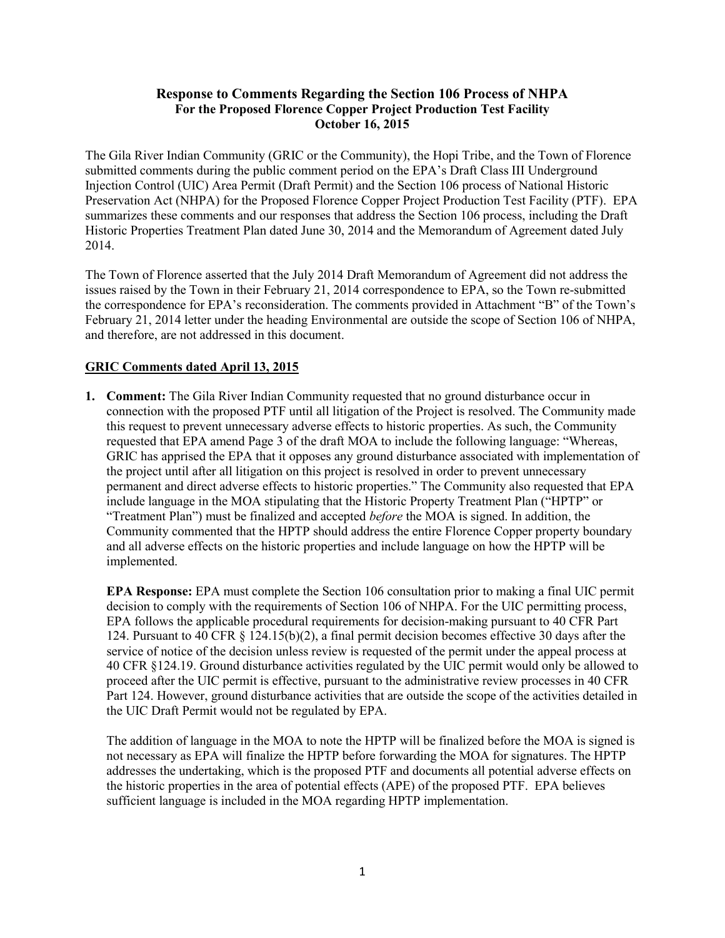# **Response to Comments Regarding the Section 106 Process of NHPA For the Proposed Florence Copper Project Production Test Facility October 16, 2015**

 The Gila River Indian Community (GRIC or the Community), the Hopi Tribe, and the Town of Florence submitted comments during the public comment period on the EPA's Draft Class III Underground Injection Control (UIC) Area Permit (Draft Permit) and the Section 106 process of National Historic Preservation Act (NHPA) for the Proposed Florence Copper Project Production Test Facility (PTF). EPA summarizes these comments and our responses that address the Section 106 process, including the Draft Historic Properties Treatment Plan dated June 30, 2014 and the Memorandum of Agreement dated July 2014.

 The Town of Florence asserted that the July 2014 Draft Memorandum of Agreement did not address the issues raised by the Town in their February 21, 2014 correspondence to EPA, so the Town re-submitted the correspondence for EPA's reconsideration. The comments provided in Attachment "B" of the Town's February 21, 2014 letter under the heading Environmental are outside the scope of Section 106 of NHPA, and therefore, are not addressed in this document.

# **GRIC Comments dated April 13, 2015**

 this request to prevent unnecessary adverse effects to historic properties. As such, the Community requested that EPA amend Page 3 of the draft MOA to include the following language: "Whereas, GRIC has apprised the EPA that it opposes any ground disturbance associated with implementation of the project until after all litigation on this project is resolved in order to prevent unnecessary permanent and direct adverse effects to historic properties." The Community also requested that EPA include language in the MOA stipulating that the Historic Property Treatment Plan ("HPTP" or "Treatment Plan") must be finalized and accepted *before* the MOA is signed. In addition, the and all adverse effects on the historic properties and include language on how the HPTP will be **1. Comment:** The Gila River Indian Community requested that no ground disturbance occur in connection with the proposed PTF until all litigation of the Project is resolved. The Community made Community commented that the HPTP should address the entire Florence Copper property boundary implemented.

 **EPA Response:** EPA must complete the Section 106 consultation prior to making a final UIC permit decision to comply with the requirements of Section 106 of NHPA. For the UIC permitting process, EPA follows the applicable procedural requirements for decision-making pursuant to 40 CFR Part service of notice of the decision unless review is requested of the permit under the appeal process at 40 CFR §124.19. Ground disturbance activities regulated by the UIC permit would only be allowed to Part 124. However, ground disturbance activities that are outside the scope of the activities detailed in the UIC Draft Permit would not be regulated by EPA. 124. Pursuant to 40 CFR § 124.15(b)(2), a final permit decision becomes effective 30 days after the proceed after the UIC permit is effective, pursuant to the administrative review processes in 40 CFR

 The addition of language in the MOA to note the HPTP will be finalized before the MOA is signed is not necessary as EPA will finalize the HPTP before forwarding the MOA for signatures. The HPTP addresses the undertaking, which is the proposed PTF and documents all potential adverse effects on the historic properties in the area of potential effects (APE) of the proposed PTF. EPA believes sufficient language is included in the MOA regarding HPTP implementation.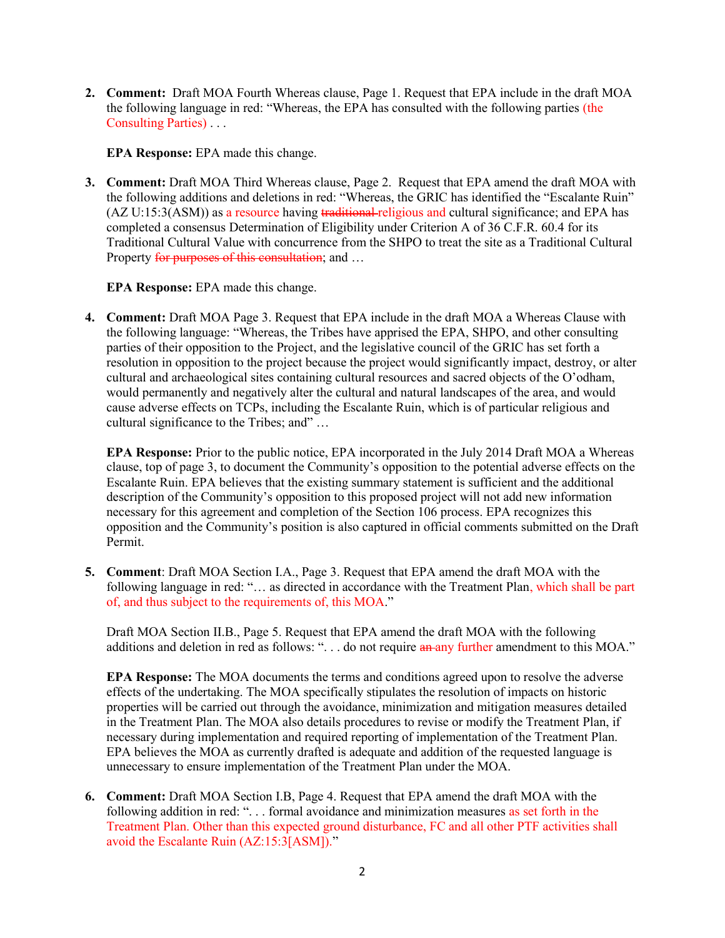**2. Comment:** Draft MOA Fourth Whereas clause, Page 1. Request that EPA include in the draft MOA the following language in red: "Whereas, the EPA has consulted with the following parties (the Consulting Parties) . . .

**EPA Response:** EPA made this change.

 **3. Comment:** Draft MOA Third Whereas clause, Page 2. Request that EPA amend the draft MOA with completed a consensus Determination of Eligibility under Criterion A of 36 C.F.R. 60.4 for its Traditional Cultural Value with concurrence from the SHPO to treat the site as a Traditional Cultural the following additions and deletions in red: "Whereas, the GRIC has identified the "Escalante Ruin" (AZ U:15:3(ASM)) as a resource having traditional-religious and cultural significance; and EPA has Property for purposes of this consultation; and ...

# **EPA Response:** EPA made this change.

 **4. Comment:** Draft MOA Page 3. Request that EPA include in the draft MOA a Whereas Clause with the following language: "Whereas, the Tribes have apprised the EPA, SHPO, and other consulting parties of their opposition to the Project, and the legislative council of the GRIC has set forth a cultural and archaeological sites containing cultural resources and sacred objects of the O'odham, would permanently and negatively alter the cultural and natural landscapes of the area, and would cause adverse effects on TCPs, including the Escalante Ruin, which is of particular religious and cultural significance to the Tribes; and" … resolution in opposition to the project because the project would significantly impact, destroy, or alter

 **EPA Response:** Prior to the public notice, EPA incorporated in the July 2014 Draft MOA a Whereas Escalante Ruin. EPA believes that the existing summary statement is sufficient and the additional description of the Community's opposition to this proposed project will not add new information necessary for this agreement and completion of the Section 106 process. EPA recognizes this opposition and the Community's position is also captured in official comments submitted on the Draft Permit. clause, top of page 3, to document the Community's opposition to the potential adverse effects on the

 **5. Comment**: Draft MOA Section I.A., Page 3. Request that EPA amend the draft MOA with the following language in red: "... as directed in accordance with the Treatment Plan, which shall be part of, and thus subject to the requirements of, this MOA."

 Draft MOA Section II.B., Page 5. Request that EPA amend the draft MOA with the following additions and deletion in red as follows: "... do not require an any further amendment to this MOA."

 **EPA Response:** The MOA documents the terms and conditions agreed upon to resolve the adverse effects of the undertaking. The MOA specifically stipulates the resolution of impacts on historic in the Treatment Plan. The MOA also details procedures to revise or modify the Treatment Plan, if necessary during implementation and required reporting of implementation of the Treatment Plan. EPA believes the MOA as currently drafted is adequate and addition of the requested language is unnecessary to ensure implementation of the Treatment Plan under the MOA. properties will be carried out through the avoidance, minimization and mitigation measures detailed

 **6. Comment:** Draft MOA Section I.B, Page 4. Request that EPA amend the draft MOA with the following addition in red: "... formal avoidance and minimization measures as set forth in the Treatment Plan. Other than this expected ground disturbance, FC and all other PTF activities shall avoid the Escalante Ruin (AZ:15:3[ASM])."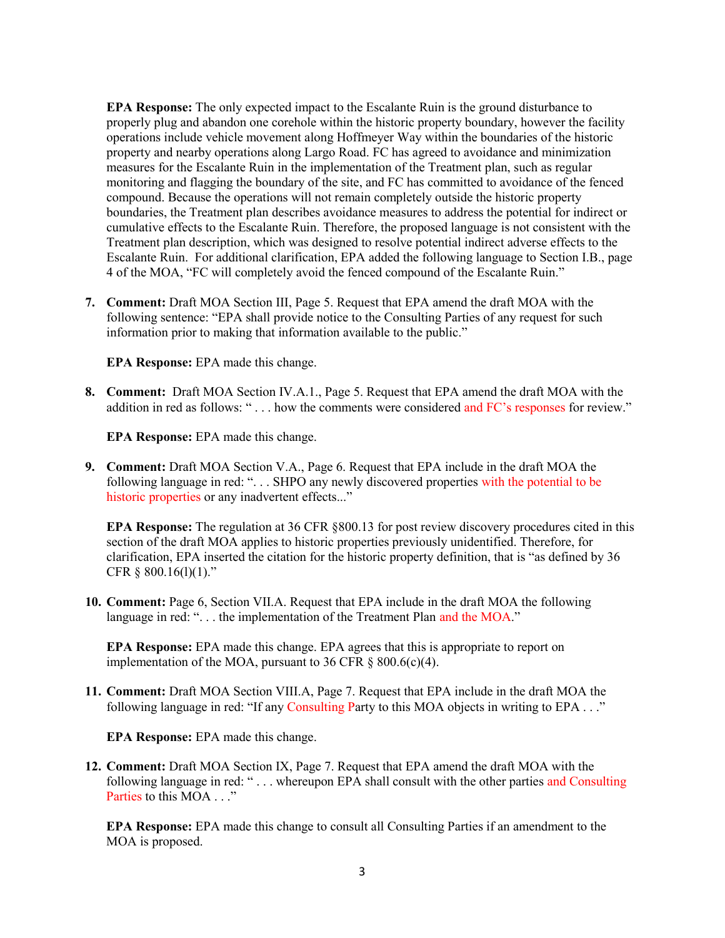**EPA Response:** The only expected impact to the Escalante Ruin is the ground disturbance to properly plug and abandon one corehole within the historic property boundary, however the facility operations include vehicle movement along Hoffmeyer Way within the boundaries of the historic property and nearby operations along Largo Road. FC has agreed to avoidance and minimization compound. Because the operations will not remain completely outside the historic property boundaries, the Treatment plan describes avoidance measures to address the potential for indirect or cumulative effects to the Escalante Ruin. Therefore, the proposed language is not consistent with the 4 of the MOA, "FC will completely avoid the fenced compound of the Escalante Ruin." measures for the Escalante Ruin in the implementation of the Treatment plan, such as regular monitoring and flagging the boundary of the site, and FC has committed to avoidance of the fenced Treatment plan description, which was designed to resolve potential indirect adverse effects to the Escalante Ruin. For additional clarification, EPA added the following language to Section I.B., page

 **7. Comment:** Draft MOA Section III, Page 5. Request that EPA amend the draft MOA with the following sentence: "EPA shall provide notice to the Consulting Parties of any request for such information prior to making that information available to the public."

**EPA Response:** EPA made this change.

 **8. Comment:** Draft MOA Section IV.A.1., Page 5. Request that EPA amend the draft MOA with the addition in red as follows: "... how the comments were considered and FC's responses for review."

**EPA Response:** EPA made this change.

 **9. Comment:** Draft MOA Section V.A., Page 6. Request that EPA include in the draft MOA the following language in red: "... SHPO any newly discovered properties with the potential to be historic properties or any inadvertent effects..."

 **EPA Response:** The regulation at 36 CFR §800.13 for post review discovery procedures cited in this section of the draft MOA applies to historic properties previously unidentified. Therefore, for clarification, EPA inserted the citation for the historic property definition, that is "as defined by 36 CFR  $§$  800.16(1)(1)."

 **10. Comment:** Page 6, Section VII.A. Request that EPA include in the draft MOA the following language in red: "... the implementation of the Treatment Plan and the MOA."

 **EPA Response:** EPA made this change. EPA agrees that this is appropriate to report on implementation of the MOA, pursuant to 36 CFR  $\S$  800.6(c)(4).

 **11. Comment:** Draft MOA Section VIII.A, Page 7. Request that EPA include in the draft MOA the following language in red: "If any Consulting Party to this MOA objects in writing to EPA . . ."

**EPA Response:** EPA made this change.

 **12. Comment:** Draft MOA Section IX, Page 7. Request that EPA amend the draft MOA with the following language in red: "... whereupon EPA shall consult with the other parties and Consulting Parties to this MOA . . ."

 **EPA Response:** EPA made this change to consult all Consulting Parties if an amendment to the MOA is proposed.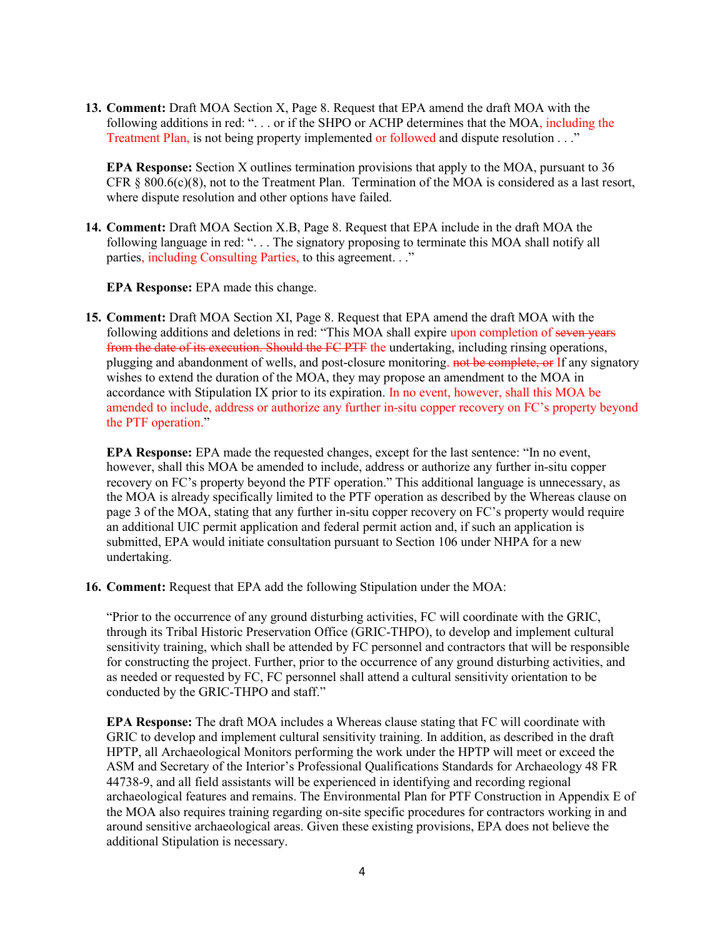**13. Comment:** Draft MOA Section X, Page 8. Request that EPA amend the draft MOA with the following additions in red: "... or if the SHPO or ACHP determines that the MOA, including the Treatment Plan, is not being property implemented or followed and dispute resolution . . ."

 CFR § 800.6(c)(8), not to the Treatment Plan. Termination of the MOA is considered as a last resort, **EPA Response:** Section X outlines termination provisions that apply to the MOA, pursuant to 36 where dispute resolution and other options have failed.

 **14. Comment:** Draft MOA Section X.B, Page 8. Request that EPA include in the draft MOA the following language in red: ". . . The signatory proposing to terminate this MOA shall notify all parties, including Consulting Parties, to this agreement. . ."

**EPA Response:** EPA made this change.

 **15. Comment:** Draft MOA Section XI, Page 8. Request that EPA amend the draft MOA with the following additions and deletions in red: "This MOA shall expire upon completion of seven years from the date of its execution. Should the FC PTF the undertaking, including rinsing operations, wishes to extend the duration of the MOA, they may propose an amendment to the MOA in accordance with Stipulation IX prior to its expiration. In no event, however, shall this MOA be amended to include, address or authorize any further in-situ copper recovery on FC's property beyond plugging and abandonment of wells, and post-closure monitoring. not be complete, or If any signatory the PTF operation."

 **EPA Response:** EPA made the requested changes, except for the last sentence: "In no event, however, shall this MOA be amended to include, address or authorize any further in-situ copper recovery on FC's property beyond the PTF operation." This additional language is unnecessary, as the MOA is already specifically limited to the PTF operation as described by the Whereas clause on page 3 of the MOA, stating that any further in-situ copper recovery on FC's property would require an additional UIC permit application and federal permit action and, if such an application is submitted, EPA would initiate consultation pursuant to Section 106 under NHPA for a new undertaking.

**16. Comment:** Request that EPA add the following Stipulation under the MOA:

 sensitivity training, which shall be attended by FC personnel and contractors that will be responsible for constructing the project. Further, prior to the occurrence of any ground disturbing activities, and "Prior to the occurrence of any ground disturbing activities, FC will coordinate with the GRIC, through its Tribal Historic Preservation Office (GRIC-THPO), to develop and implement cultural as needed or requested by FC, FC personnel shall attend a cultural sensitivity orientation to be conducted by the GRIC-THPO and staff."

 **EPA Response:** The draft MOA includes a Whereas clause stating that FC will coordinate with GRIC to develop and implement cultural sensitivity training. In addition, as described in the draft HPTP, all Archaeological Monitors performing the work under the HPTP will meet or exceed the ASM and Secretary of the Interior's Professional Qualifications Standards for Archaeology 48 FR archaeological features and remains. The Environmental Plan for PTF Construction in Appendix E of the MOA also requires training regarding on-site specific procedures for contractors working in and 44738-9, and all field assistants will be experienced in identifying and recording regional around sensitive archaeological areas. Given these existing provisions, EPA does not believe the additional Stipulation is necessary.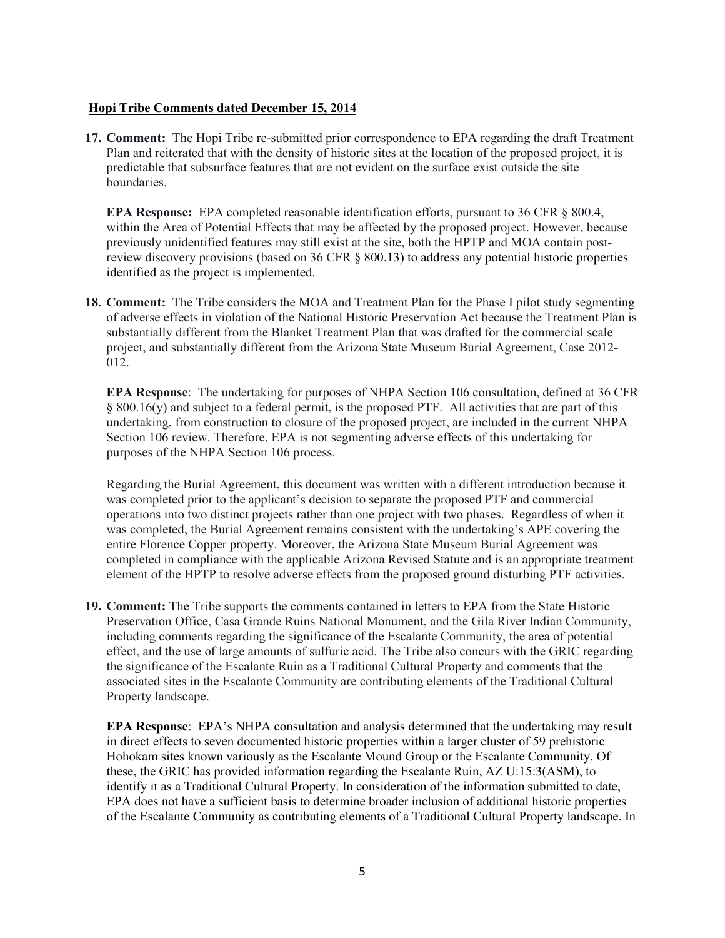#### **Hopi Tribe Comments dated December 15, 2014**

17. Comment: The Hopi Tribe re-submitted prior correspondence to EPA regarding the draft Treatment Plan and reiterated that with the density of historic sites at the location of the proposed project, it is predictable that subsurface features that are not evident on the surface exist outside the site boundaries.

 **EPA Response:** EPA completed reasonable identification efforts, pursuant to 36 CFR § 800.4, within the Area of Potential Effects that may be affected by the proposed project. However, because previously unidentified features may still exist at the site, both the HPTP and MOA contain post- identified as the project is implemented. review discovery provisions (based on 36 CFR § 800.13) to address any potential historic properties

18. Comment: The Tribe considers the MOA and Treatment Plan for the Phase I pilot study segmenting substantially different from the Blanket Treatment Plan that was drafted for the commercial scale project, and substantially different from the Arizona State Museum Burial Agreement, Case 2012 012. of adverse effects in violation of the National Historic Preservation Act because the Treatment Plan is

 **EPA Response**: The undertaking for purposes of NHPA Section 106 consultation, defined at 36 CFR undertaking, from construction to closure of the proposed project, are included in the current NHPA Section 106 review. Therefore, EPA is not segmenting adverse effects of this undertaking for purposes of the NHPA Section 106 process. § 800.16(y) and subject to a federal permit, is the proposed PTF. All activities that are part of this

 Regarding the Burial Agreement, this document was written with a different introduction because it was completed prior to the applicant's decision to separate the proposed PTF and commercial entire Florence Copper property. Moreover, the Arizona State Museum Burial Agreement was completed in compliance with the applicable Arizona Revised Statute and is an appropriate treatment element of the HPTP to resolve adverse effects from the proposed ground disturbing PTF activities. operations into two distinct projects rather than one project with two phases. Regardless of when it was completed, the Burial Agreement remains consistent with the undertaking's APE covering the

 **19. Comment:** The Tribe supports the comments contained in letters to EPA from the State Historic Preservation Office, Casa Grande Ruins National Monument, and the Gila River Indian Community, including comments regarding the significance of the Escalante Community, the area of potential effect, and the use of large amounts of sulfuric acid. The Tribe also concurs with the GRIC regarding the significance of the Escalante Ruin as a Traditional Cultural Property and comments that the associated sites in the Escalante Community are contributing elements of the Traditional Cultural Property landscape.

 **EPA Response**: EPA's NHPA consultation and analysis determined that the undertaking may result Hohokam sites known variously as the Escalante Mound Group or the Escalante Community. Of identify it as a Traditional Cultural Property. In consideration of the information submitted to date, EPA does not have a sufficient basis to determine broader inclusion of additional historic properties of the Escalante Community as contributing elements of a Traditional Cultural Property landscape. In in direct effects to seven documented historic properties within a larger cluster of 59 prehistoric these, the GRIC has provided information regarding the Escalante Ruin, AZ U:15:3(ASM), to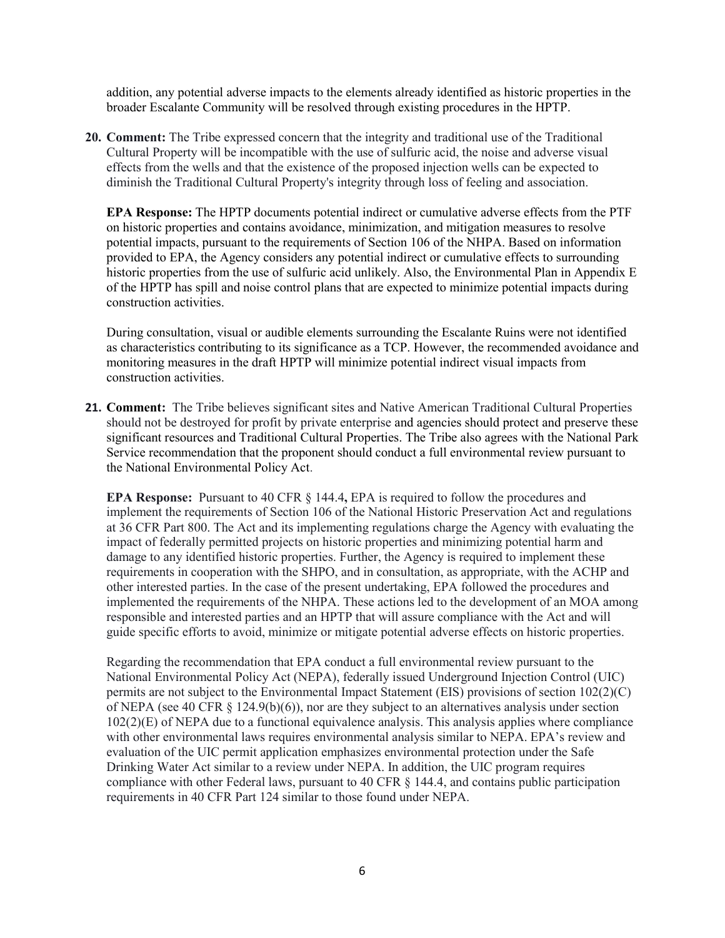addition, any potential adverse impacts to the elements already identified as historic properties in the broader Escalante Community will be resolved through existing procedures in the HPTP.

 **20. Comment:** The Tribe expressed concern that the integrity and traditional use of the Traditional Cultural Property will be incompatible with the use of sulfuric acid, the noise and adverse visual effects from the wells and that the existence of the proposed injection wells can be expected to diminish the Traditional Cultural Property's integrity through loss of feeling and association.

 **EPA Response:** The HPTP documents potential indirect or cumulative adverse effects from the PTF potential impacts, pursuant to the requirements of Section 106 of the NHPA. Based on information provided to EPA, the Agency considers any potential indirect or cumulative effects to surrounding historic properties from the use of sulfuric acid unlikely. Also, the Environmental Plan in Appendix E of the HPTP has spill and noise control plans that are expected to minimize potential impacts during construction activities on historic properties and contains avoidance, minimization, and mitigation measures to resolve

 as characteristics contributing to its significance as a TCP. However, the recommended avoidance and monitoring measures in the draft HPTP will minimize potential indirect visual impacts from construction activities. During consultation, visual or audible elements surrounding the Escalante Ruins were not identified

 **21. Comment:** The Tribe believes significant sites and Native American Traditional Cultural Properties should not be destroyed for profit by private enterprise and agencies should protect and preserve these Service recommendation that the proponent should conduct a full environmental review pursuant to significant resources and Traditional Cultural Properties. The Tribe also agrees with the National Park the National Environmental Policy Act.

**EPA Response:** Pursuant to 40 CFR § 144.4, EPA is required to follow the procedures and implement the requirements of Section 106 of the National Historic Preservation Act and regulations damage to any identified historic properties. Further, the Agency is required to implement these requirements in cooperation with the SHPO, and in consultation, as appropriate, with the ACHP and implemented the requirements of the NHPA. These actions led to the development of an MOA among guide specific efforts to avoid, minimize or mitigate potential adverse effects on historic properties. at 36 CFR Part 800. The Act and its implementing regulations charge the Agency with evaluating the impact of federally permitted projects on historic properties and minimizing potential harm and other interested parties. In the case of the present undertaking, EPA followed the procedures and responsible and interested parties and an HPTP that will assure compliance with the Act and will

 National Environmental Policy Act (NEPA), federally issued Underground Injection Control (UIC) of NEPA (see 40 CFR § 124.9(b)(6)), nor are they subject to an alternatives analysis under section 102(2)(E) of NEPA due to a functional equivalence analysis. This analysis applies where compliance with other environmental laws requires environmental analysis similar to NEPA. EPA's review and Drinking Water Act similar to a review under NEPA. In addition, the UIC program requires compliance with other Federal laws, pursuant to 40 CFR § 144.4, and contains public participation requirements in 40 CFR Part 124 similar to those found under NEPA. Regarding the recommendation that EPA conduct a full environmental review pursuant to the permits are not subject to the Environmental Impact Statement (EIS) provisions of section 102(2)(C) evaluation of the UIC permit application emphasizes environmental protection under the Safe